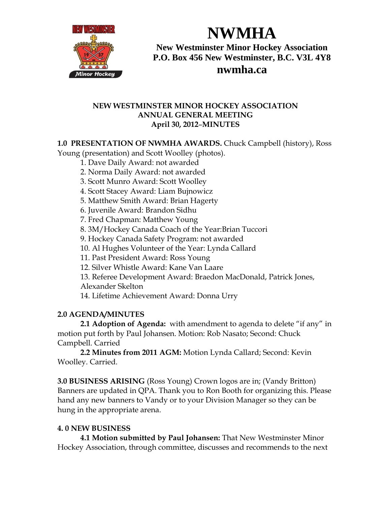

**New Westminster Minor Hockey Association P.O. Box 456 New Westminster, B.C. V3L 4Y8 nwmha.ca**

**NWMHA**

#### **NEW WESTMINSTER MINOR HOCKEY ASSOCIATION ANNUAL GENERAL MEETING April 30, 2012**–**MINUTES**

### **1.0 PRESENTATION OF NWMHA AWARDS.** Chuck Campbell (history), Ross

Young (presentation) and Scott Woolley (photos).

- 1. Dave Daily Award: not awarded
- 2. Norma Daily Award: not awarded
- 3. Scott Munro Award: Scott Woolley
- 4. Scott Stacey Award: Liam Bujnowicz
- 5. Matthew Smith Award: Brian Hagerty
- 6. Juvenile Award: Brandon Sidhu
- 7. Fred Chapman: Matthew Young
- 8. 3M/Hockey Canada Coach of the Year:Brian Tuccori
- 9. Hockey Canada Safety Program: not awarded
- 10. Al Hughes Volunteer of the Year: Lynda Callard
- 11. Past President Award: Ross Young
- 12. Silver Whistle Award: Kane Van Laare
- 13. Referee Development Award: Braedon MacDonald, Patrick Jones,
- Alexander Skelton
- 14. Lifetime Achievement Award: Donna Urry

## **2.0 AGENDA/MINUTES**

**2.1 Adoption of Agenda:** with amendment to agenda to delete "if any" in motion put forth by Paul Johansen. Motion: Rob Nasato; Second: Chuck Campbell. Carried

**2.2 Minutes from 2011 AGM:** Motion Lynda Callard; Second: Kevin Woolley. Carried.

**3.0 BUSINESS ARISING** (Ross Young) Crown logos are in; (Vandy Britton) Banners are updated in QPA. Thank you to Ron Booth for organizing this. Please hand any new banners to Vandy or to your Division Manager so they can be hung in the appropriate arena.

## **4. 0 NEW BUSINESS**

**4.1 Motion submitted by Paul Johansen:** That New Westminster Minor Hockey Association, through committee, discusses and recommends to the next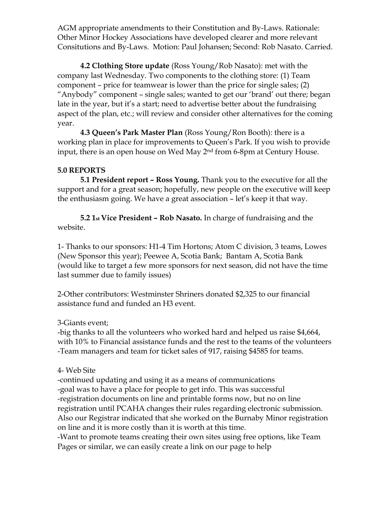AGM appropriate amendments to their Constitution and By-Laws. Rationale: Other Minor Hockey Associations have developed clearer and more relevant Consitutions and By-Laws. Motion: Paul Johansen; Second: Rob Nasato. Carried.

**4.2 Clothing Store update** (Ross Young/Rob Nasato): met with the company last Wednesday. Two components to the clothing store: (1) Team component – price for teamwear is lower than the price for single sales; (2) "Anybody" component – single sales; wanted to get our 'brand' out there; began late in the year, but it's a start; need to advertise better about the fundraising aspect of the plan, etc.; will review and consider other alternatives for the coming year.

**4.3 Queen's Park Master Plan** (Ross Young/Ron Booth): there is a working plan in place for improvements to Queen's Park. If you wish to provide input, there is an open house on Wed May 2nd from 6-8pm at Century House.

#### **5.0 REPORTS**

**5.1 President report – Ross Young.** Thank you to the executive for all the support and for a great season; hopefully, new people on the executive will keep the enthusiasm going. We have a great association – let's keep it that way.

**5.2 1st Vice President – Rob Nasato.** In charge of fundraising and the website.

1- Thanks to our sponsors: H1-4 Tim Hortons; Atom C division, 3 teams, Lowes (New Sponsor this year); Peewee A, Scotia Bank; Bantam A, Scotia Bank (would like to target a few more sponsors for next season, did not have the time last summer due to family issues)

2-Other contributors: Westminster Shriners donated \$2,325 to our financial assistance fund and funded an H3 event.

#### 3-Giants event;

-big thanks to all the volunteers who worked hard and helped us raise \$4,664, with 10% to Financial assistance funds and the rest to the teams of the volunteers -Team managers and team for ticket sales of 917, raising \$4585 for teams.

#### 4- Web Site

-continued updating and using it as a means of communications -goal was to have a place for people to get info. This was successful -registration documents on line and printable forms now, but no on line registration until PCAHA changes their rules regarding electronic submission. Also our Registrar indicated that she worked on the Burnaby Minor registration on line and it is more costly than it is worth at this time.

-Want to promote teams creating their own sites using free options, like Team Pages or similar, we can easily create a link on our page to help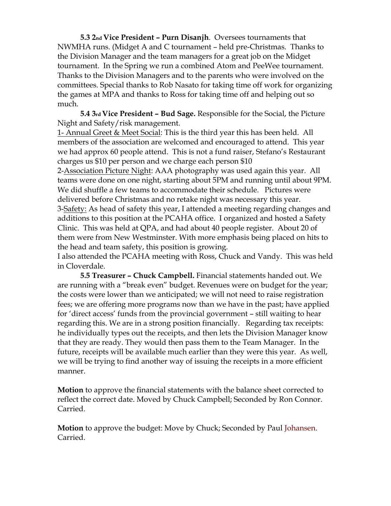**5.3 2nd Vice President – Purn Disanjh**. Oversees tournaments that NWMHA runs. (Midget A and C tournament – held pre-Christmas. Thanks to the Division Manager and the team managers for a great job on the Midget tournament. In the Spring we run a combined Atom and PeeWee tournament. Thanks to the Division Managers and to the parents who were involved on the committees. Special thanks to Rob Nasato for taking time off work for organizing the games at MPA and thanks to Ross for taking time off and helping out so much.

**5.4 3rd Vice President – Bud Sage.** Responsible for the Social, the Picture Night and Safety/risk management.

1- Annual Greet & Meet Social: This is the third year this has been held. All members of the association are welcomed and encouraged to attend. This year we had approx 60 people attend. This is not a fund raiser, Stefano's Restaurant charges us \$10 per person and we charge each person \$10

2-Association Picture Night: AAA photography was used again this year. All teams were done on one night, starting about 5PM and running until about 9PM. We did shuffle a few teams to accommodate their schedule. Pictures were delivered before Christmas and no retake night was necessary this year. 3-Safety: As head of safety this year, I attended a meeting regarding changes and additions to this position at the PCAHA office. I organized and hosted a Safety Clinic. This was held at QPA, and had about 40 people register. About 20 of them were from New Westminster. With more emphasis being placed on hits to the head and team safety, this position is growing.

I also attended the PCAHA meeting with Ross, Chuck and Vandy. This was held in Cloverdale.

**5.5 Treasurer – Chuck Campbell.** Financial statements handed out. We are running with a "break even" budget. Revenues were on budget for the year; the costs were lower than we anticipated; we will not need to raise registration fees; we are offering more programs now than we have in the past; have applied for 'direct access' funds from the provincial government – still waiting to hear regarding this. We are in a strong position financially. Regarding tax receipts: he individually types out the receipts, and then lets the Division Manager know that they are ready. They would then pass them to the Team Manager. In the future, receipts will be available much earlier than they were this year. As well, we will be trying to find another way of issuing the receipts in a more efficient manner.

**Motion** to approve the financial statements with the balance sheet corrected to reflect the correct date. Moved by Chuck Campbell; Seconded by Ron Connor. Carried.

**Motion** to approve the budget: Move by Chuck; Seconded by Paul Johansen. Carried.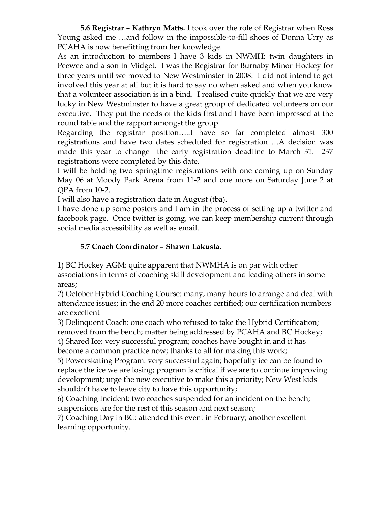**5.6 Registrar – Kathryn Matts.** I took over the role of Registrar when Ross Young asked me …and follow in the impossible-to-fill shoes of Donna Urry as PCAHA is now benefitting from her knowledge.

As an introduction to members I have 3 kids in NWMH: twin daughters in Peewee and a son in Midget. I was the Registrar for Burnaby Minor Hockey for three years until we moved to New Westminster in 2008. I did not intend to get involved this year at all but it is hard to say no when asked and when you know that a volunteer association is in a bind. I realised quite quickly that we are very lucky in New Westminster to have a great group of dedicated volunteers on our executive. They put the needs of the kids first and I have been impressed at the round table and the rapport amongst the group.

Regarding the registrar position…..I have so far completed almost 300 registrations and have two dates scheduled for registration …A decision was made this year to change the early registration deadline to March 31. 237 registrations were completed by this date.

I will be holding two springtime registrations with one coming up on Sunday May 06 at Moody Park Arena from 11-2 and one more on Saturday June 2 at QPA from 10-2.

I will also have a registration date in August (tba).

I have done up some posters and I am in the process of setting up a twitter and facebook page. Once twitter is going, we can keep membership current through social media accessibility as well as email.

## **5.7 Coach Coordinator – Shawn Lakusta.**

1) BC Hockey AGM: quite apparent that NWMHA is on par with other associations in terms of coaching skill development and leading others in some areas;

2) October Hybrid Coaching Course: many, many hours to arrange and deal with attendance issues; in the end 20 more coaches certified; our certification numbers are excellent

3) Delinquent Coach: one coach who refused to take the Hybrid Certification; removed from the bench; matter being addressed by PCAHA and BC Hockey;

4) Shared Ice: very successful program; coaches have bought in and it has become a common practice now; thanks to all for making this work;

5) Powerskating Program: very successful again; hopefully ice can be found to replace the ice we are losing; program is critical if we are to continue improving development; urge the new executive to make this a priority; New West kids shouldn't have to leave city to have this opportunity;

6) Coaching Incident: two coaches suspended for an incident on the bench; suspensions are for the rest of this season and next season;

7) Coaching Day in BC: attended this event in February; another excellent learning opportunity.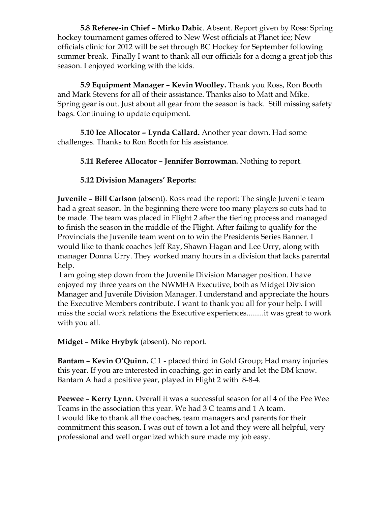**5.8 Referee-in Chief – Mirko Dabic**. Absent. Report given by Ross: Spring hockey tournament games offered to New West officials at Planet ice; New officials clinic for 2012 will be set through BC Hockey for September following summer break. Finally I want to thank all our officials for a doing a great job this season. I enjoyed working with the kids.

**5.9 Equipment Manager – Kevin Woolley.** Thank you Ross, Ron Booth and Mark Stevens for all of their assistance. Thanks also to Matt and Mike. Spring gear is out. Just about all gear from the season is back. Still missing safety bags. Continuing to update equipment.

**5.10 Ice Allocator – Lynda Callard.** Another year down. Had some challenges. Thanks to Ron Booth for his assistance.

## **5.11 Referee Allocator – Jennifer Borrowman.** Nothing to report.

### **5.12 Division Managers' Reports:**

**Juvenile – Bill Carlson** (absent). Ross read the report: The single Juvenile team had a great season. In the beginning there were too many players so cuts had to be made. The team was placed in Flight 2 after the tiering process and managed to finish the season in the middle of the Flight. After failing to qualify for the Provincials the Juvenile team went on to win the Presidents Series Banner. I would like to thank coaches Jeff Ray, Shawn Hagan and Lee Urry, along with manager Donna Urry. They worked many hours in a division that lacks parental help.

I am going step down from the Juvenile Division Manager position. I have enjoyed my three years on the NWMHA Executive, both as Midget Division Manager and Juvenile Division Manager. I understand and appreciate the hours the Executive Members contribute. I want to thank you all for your help. I will miss the social work relations the Executive experiences.........it was great to work with you all.

**Midget – Mike Hrybyk** (absent). No report.

**Bantam – Kevin O'Quinn.** C 1 - placed third in Gold Group; Had many injuries this year. If you are interested in coaching, get in early and let the DM know. Bantam A had a positive year, played in Flight 2 with 8-8-4.

**Peewee – Kerry Lynn.** Overall it was a successful season for all 4 of the Pee Wee Teams in the association this year. We had 3 C teams and 1 A team. I would like to thank all the coaches, team managers and parents for their commitment this season. I was out of town a lot and they were all helpful, very professional and well organized which sure made my job easy.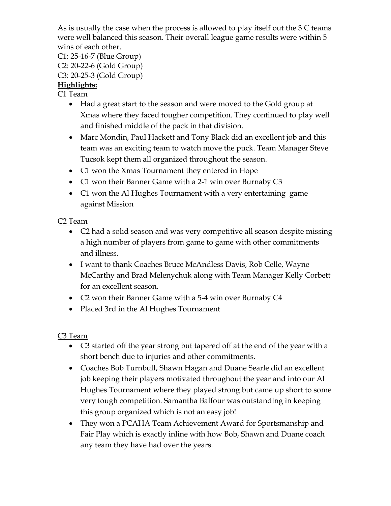As is usually the case when the process is allowed to play itself out the 3 C teams were well balanced this season. Their overall league game results were within 5 wins of each other.

C1: 25-16-7 (Blue Group) C2: 20-22-6 (Gold Group) C3: 20-25-3 (Gold Group) **Highlights:**

C1 Team

- Had a great start to the season and were moved to the Gold group at Xmas where they faced tougher competition. They continued to play well and finished middle of the pack in that division.
- Marc Mondin, Paul Hackett and Tony Black did an excellent job and this team was an exciting team to watch move the puck. Team Manager Steve Tucsok kept them all organized throughout the season.
- C1 won the Xmas Tournament they entered in Hope
- C1 won their Banner Game with a 2-1 win over Burnaby C3
- C1 won the Al Hughes Tournament with a very entertaining game against Mission

# C2 Team

- C2 had a solid season and was very competitive all season despite missing a high number of players from game to game with other commitments and illness.
- I want to thank Coaches Bruce McAndless Davis, Rob Celle, Wayne McCarthy and Brad Melenychuk along with Team Manager Kelly Corbett for an excellent season.
- C2 won their Banner Game with a 5-4 win over Burnaby C4
- Placed 3rd in the Al Hughes Tournament

C3 Team

- C3 started off the year strong but tapered off at the end of the year with a short bench due to injuries and other commitments.
- Coaches Bob Turnbull, Shawn Hagan and Duane Searle did an excellent job keeping their players motivated throughout the year and into our Al Hughes Tournament where they played strong but came up short to some very tough competition. Samantha Balfour was outstanding in keeping this group organized which is not an easy job!
- They won a PCAHA Team Achievement Award for Sportsmanship and Fair Play which is exactly inline with how Bob, Shawn and Duane coach any team they have had over the years.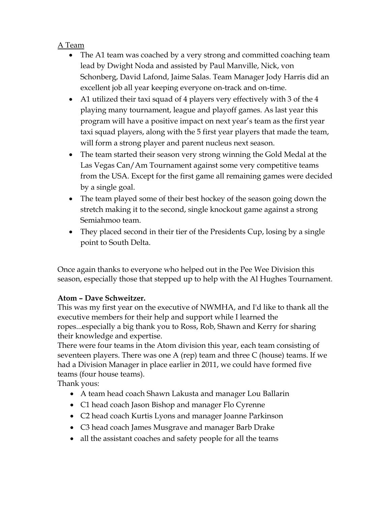# A Team

- The A1 team was coached by a very strong and committed coaching team lead by Dwight Noda and assisted by Paul Manville, Nick, von Schonberg, David Lafond, Jaime Salas. Team Manager Jody Harris did an excellent job all year keeping everyone on-track and on-time.
- A1 utilized their taxi squad of 4 players very effectively with 3 of the 4 playing many tournament, league and playoff games. As last year this program will have a positive impact on next year's team as the first year taxi squad players, along with the 5 first year players that made the team, will form a strong player and parent nucleus next season.
- The team started their season very strong winning the Gold Medal at the Las Vegas Can/Am Tournament against some very competitive teams from the USA. Except for the first game all remaining games were decided by a single goal.
- The team played some of their best hockey of the season going down the stretch making it to the second, single knockout game against a strong Semiahmoo team.
- They placed second in their tier of the Presidents Cup, losing by a single point to South Delta.

Once again thanks to everyone who helped out in the Pee Wee Division this season, especially those that stepped up to help with the Al Hughes Tournament.

#### **Atom – Dave Schweitzer.**

This was my first year on the executive of NWMHA, and I'd like to thank all the executive members for their help and support while I learned the ropes...especially a big thank you to Ross, Rob, Shawn and Kerry for sharing their knowledge and expertise.

There were four teams in the Atom division this year, each team consisting of seventeen players. There was one A (rep) team and three C (house) teams. If we had a Division Manager in place earlier in 2011, we could have formed five teams (four house teams).

Thank yous:

- A team head coach Shawn Lakusta and manager Lou Ballarin
- C1 head coach Jason Bishop and manager Flo Cyrenne
- C2 head coach Kurtis Lyons and manager Joanne Parkinson
- C3 head coach James Musgrave and manager Barb Drake
- all the assistant coaches and safety people for all the teams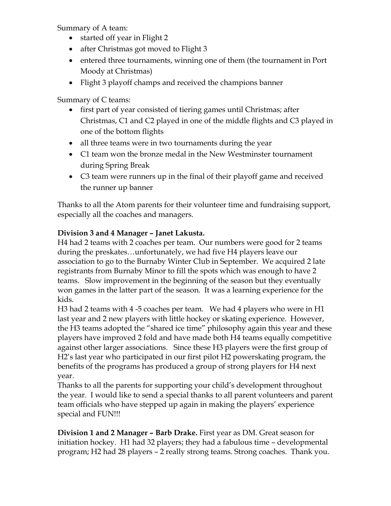Summary of A team:

- started off year in Flight 2
- after Christmas got moved to Flight 3
- entered three tournaments, winning one of them (the tournament in Port Moody at Christmas)
- Flight 3 playoff champs and received the champions banner

Summary of C teams:

- first part of year consisted of tiering games until Christmas; after Christmas, C1 and C2 played in one of the middle flights and C3 played in one of the bottom flights
- all three teams were in two tournaments during the year
- C1 team won the bronze medal in the New Westminster tournament during Spring Break
- C3 team were runners up in the final of their playoff game and received the runner up banner

Thanks to all the Atom parents for their volunteer time and fundraising support, especially all the coaches and managers.

# **Division 3 and 4 Manager – Janet Lakusta.**

H4 had 2 teams with 2 coaches per team. Our numbers were good for 2 teams during the preskates…unfortunately, we had five H4 players leave our association to go to the Burnaby Winter Club in September. We acquired 2 late registrants from Burnaby Minor to fill the spots which was enough to have 2 teams. Slow improvement in the beginning of the season but they eventually won games in the latter part of the season. It was a learning experience for the kids.

H3 had 2 teams with 4 -5 coaches per team. We had 4 players who were in H1 last year and 2 new players with little hockey or skating experience. However, the H3 teams adopted the "shared ice time" philosophy again this year and these players have improved 2 fold and have made both H4 teams equally competitive against other larger associations. Since these H3 players were the first group of H2's last year who participated in our first pilot H2 powerskating program, the benefits of the programs has produced a group of strong players for H4 next year.

Thanks to all the parents for supporting your child's development throughout the year. I would like to send a special thanks to all parent volunteers and parent team officials who have stepped up again in making the players' experience special and FUN!!!

**Division 1 and 2 Manager – Barb Drake.** First year as DM. Great season for initiation hockey. H1 had 32 players; they had a fabulous time – developmental program; H2 had 28 players – 2 really strong teams. Strong coaches. Thank you.